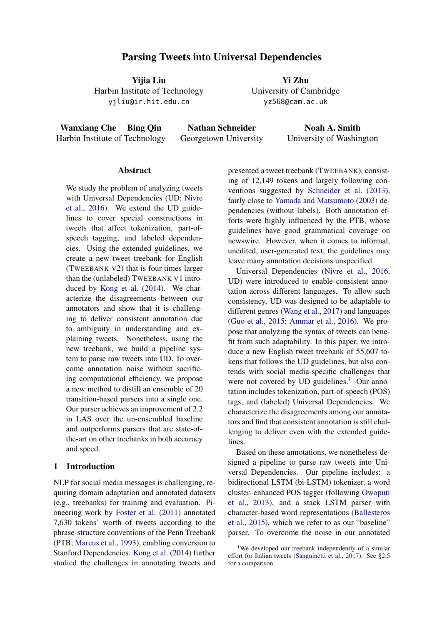# Parsing Tweets into Universal Dependencies

Yijia Liu Harbin Institute of Technology yjliu@ir.hit.edu.cn

Yi Zhu University of Cambridge yz568@cam.ac.uk

Wanxiang Che Bing Qin Harbin Institute of Technology

Nathan Schneider Georgetown University

Noah A. Smith University of Washington

## Abstract

We study the problem of analyzing tweets with Universal Dependencies (UD; [Nivre](#page-9-0) [et al.,](#page-9-0) [2016\)](#page-9-0). We extend the UD guidelines to cover special constructions in tweets that affect tokenization, part-ofspeech tagging, and labeled dependencies. Using the extended guidelines, we create a new tweet treebank for English (TWEEBANK V2) that is four times larger than the (unlabeled) TWEEBANK V1 introduced by [Kong et al.](#page-9-1) [\(2014\)](#page-9-1). We characterize the disagreements between our annotators and show that it is challenging to deliver consistent annotation due to ambiguity in understanding and explaining tweets. Nonetheless, using the new treebank, we build a pipeline system to parse raw tweets into UD. To overcome annotation noise without sacrificing computational efficiency, we propose a new method to distill an ensemble of 20 transition-based parsers into a single one. Our parser achieves an improvement of 2.2 in LAS over the un-ensembled baseline and outperforms parsers that are state-ofthe-art on other treebanks in both accuracy and speed.

# 1 Introduction

NLP for social media messages is challenging, requiring domain adaptation and annotated datasets (e.g., treebanks) for training and evaluation. Pioneering work by [Foster et al.](#page-9-2) [\(2011\)](#page-9-2) annotated 7,630 tokens' worth of tweets according to the phrase-structure conventions of the Penn Treebank (PTB; [Marcus et al.,](#page-9-3) [1993\)](#page-9-3), enabling conversion to Stanford Dependencies. [Kong et al.](#page-9-1) [\(2014\)](#page-9-1) further studied the challenges in annotating tweets and presented a tweet treebank (TWEEBANK), consisting of 12,149 tokens and largely following conventions suggested by [Schneider et al.](#page-9-4) [\(2013\)](#page-9-4), fairly close to [Yamada and Matsumoto](#page-10-0) [\(2003\)](#page-10-0) dependencies (without labels). Both annotation efforts were highly influenced by the PTB, whose guidelines have good grammatical coverage on newswire. However, when it comes to informal, unedited, user-generated text, the guidelines may leave many annotation decisions unspecified.

Universal Dependencies [\(Nivre et al.,](#page-9-0) [2016,](#page-9-0) UD) were introduced to enable consistent annotation across different languages. To allow such consistency, UD was designed to be adaptable to different genres [\(Wang et al.,](#page-10-1) [2017\)](#page-10-1) and languages [\(Guo et al.,](#page-9-5) [2015;](#page-9-5) [Ammar et al.,](#page-8-0) [2016\)](#page-8-0). We propose that analyzing the syntax of tweets can benefit from such adaptability. In this paper, we introduce a new English tweet treebank of 55,607 tokens that follows the UD guidelines, but also contends with social media-specific challenges that were not covered by UD guidelines.<sup>[1](#page-0-0)</sup> Our annotation includes tokenization, part-of-speech (POS) tags, and (labeled) Universal Dependencies. We characterize the disagreements among our annotators and find that consistent annotation is still challenging to deliver even with the extended guidelines.

Based on these annotations, we nonetheless designed a pipeline to parse raw tweets into Universal Dependencies. Our pipeline includes: a bidirectional LSTM (bi-LSTM) tokenizer, a word cluster–enhanced POS tagger (following [Owoputi](#page-9-6) [et al.,](#page-9-6) [2013\)](#page-9-6), and a stack LSTM parser with character-based word representations [\(Ballesteros](#page-8-1) [et al.,](#page-8-1) [2015\)](#page-8-1), which we refer to as our "baseline" parser. To overcome the noise in our annotated

<span id="page-0-0"></span><sup>1</sup>We developed our treebank independently of a similar effort for Italian tweets [\(Sanguinetti et al.,](#page-9-7) [2017\)](#page-9-7). See [§2.5](#page-4-0) for a comparison.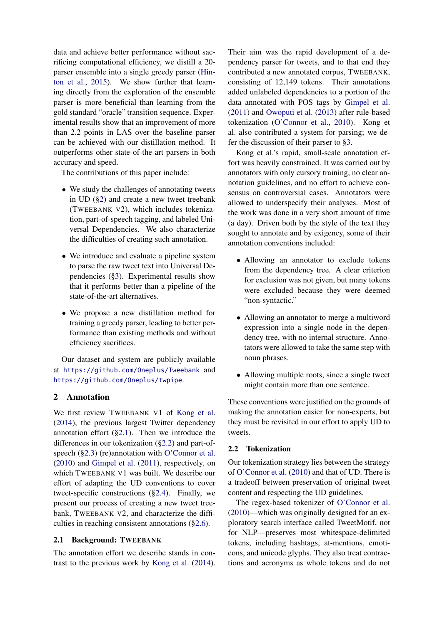data and achieve better performance without sacrificing computational efficiency, we distill a 20 parser ensemble into a single greedy parser [\(Hin](#page-9-8)[ton et al.,](#page-9-8) [2015\)](#page-9-8). We show further that learning directly from the exploration of the ensemble parser is more beneficial than learning from the gold standard "oracle" transition sequence. Experimental results show that an improvement of more than 2.2 points in LAS over the baseline parser can be achieved with our distillation method. It outperforms other state-of-the-art parsers in both accuracy and speed.

The contributions of this paper include:

- We study the challenges of annotating tweets in UD ([§2\)](#page-1-0) and create a new tweet treebank (TWEEBANK V2), which includes tokenization, part-of-speech tagging, and labeled Universal Dependencies. We also characterize the difficulties of creating such annotation.
- We introduce and evaluate a pipeline system to parse the raw tweet text into Universal Dependencies ([§3\)](#page-5-0). Experimental results show that it performs better than a pipeline of the state-of-the-art alternatives.
- We propose a new distillation method for training a greedy parser, leading to better performance than existing methods and without efficiency sacrifices.

Our dataset and system are publicly available at <https://github.com/Oneplus/Tweebank> and <https://github.com/Oneplus/twpipe>.

# <span id="page-1-0"></span>2 Annotation

We first review TWEEBANK V1 of [Kong et al.](#page-9-1) [\(2014\)](#page-9-1), the previous largest Twitter dependency annotation effort  $(\S 2.1)$ . Then we introduce the differences in our tokenization ([§2.2\)](#page-1-2) and part-of-speech ([§2.3\)](#page-2-0) (re)annotation with [O'Connor et al.](#page-9-9) [\(2010\)](#page-9-9) and [Gimpel et al.](#page-9-10) [\(2011\)](#page-9-10), respectively, on which TWEEBANK V1 was built. We describe our effort of adapting the UD conventions to cover tweet-specific constructions ([§2.4\)](#page-2-1). Finally, we present our process of creating a new tweet treebank, TWEEBANK V2, and characterize the difficulties in reaching consistent annotations ([§2.6\)](#page-4-1).

# <span id="page-1-1"></span>2.1 Background: TWEEBANK

The annotation effort we describe stands in contrast to the previous work by [Kong et al.](#page-9-1) [\(2014\)](#page-9-1).

Their aim was the rapid development of a dependency parser for tweets, and to that end they contributed a new annotated corpus, TWEEBANK, consisting of 12,149 tokens. Their annotations added unlabeled dependencies to a portion of the data annotated with POS tags by [Gimpel et al.](#page-9-10) [\(2011\)](#page-9-10) and [Owoputi et al.](#page-9-6) [\(2013\)](#page-9-6) after rule-based tokenization [\(O'Connor et al.,](#page-9-9) [2010\)](#page-9-9). Kong et al. also contributed a system for parsing; we defer the discussion of their parser to [§3.](#page-5-0)

Kong et al.'s rapid, small-scale annotation effort was heavily constrained. It was carried out by annotators with only cursory training, no clear annotation guidelines, and no effort to achieve consensus on controversial cases. Annotators were allowed to underspecify their analyses. Most of the work was done in a very short amount of time (a day). Driven both by the style of the text they sought to annotate and by exigency, some of their annotation conventions included:

- Allowing an annotator to exclude tokens from the dependency tree. A clear criterion for exclusion was not given, but many tokens were excluded because they were deemed "non-syntactic."
- Allowing an annotator to merge a multiword expression into a single node in the dependency tree, with no internal structure. Annotators were allowed to take the same step with noun phrases.
- Allowing multiple roots, since a single tweet might contain more than one sentence.

These conventions were justified on the grounds of making the annotation easier for non-experts, but they must be revisited in our effort to apply UD to tweets.

# <span id="page-1-2"></span>2.2 Tokenization

Our tokenization strategy lies between the strategy of [O'Connor et al.](#page-9-9) [\(2010\)](#page-9-9) and that of UD. There is a tradeoff between preservation of original tweet content and respecting the UD guidelines.

The regex-based tokenizer of [O'Connor et al.](#page-9-9) [\(2010\)](#page-9-9)—which was originally designed for an exploratory search interface called TweetMotif, not for NLP—preserves most whitespace-delimited tokens, including hashtags, at-mentions, emoticons, and unicode glyphs. They also treat contractions and acronyms as whole tokens and do not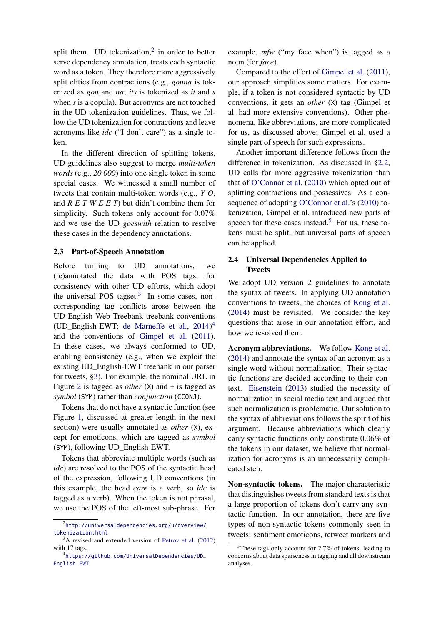split them. UD tokenization,<sup>[2](#page-2-2)</sup> in order to better serve dependency annotation, treats each syntactic word as a token. They therefore more aggressively split clitics from contractions (e.g., *gonna* is tokenized as *gon* and *na*; *its* is tokenized as *it* and *s* when *s* is a copula). But acronyms are not touched in the UD tokenization guidelines. Thus, we follow the UD tokenization for contractions and leave acronyms like *idc* ("I don't care") as a single token.

In the different direction of splitting tokens, UD guidelines also suggest to merge *multi-token words* (e.g., *20 000*) into one single token in some special cases. We witnessed a small number of tweets that contain multi-token words (e.g., *Y O*, and *R E T W E E T*) but didn't combine them for simplicity. Such tokens only account for 0.07% and we use the UD *goeswith* relation to resolve these cases in the dependency annotations.

### <span id="page-2-0"></span>2.3 Part-of-Speech Annotation

Before turning to UD annotations, we (re)annotated the data with POS tags, for consistency with other UD efforts, which adopt the universal POS tagset. $3$  In some cases, noncorresponding tag conflicts arose between the UD English Web Treebank treebank conventions (UD\_English-EWT; [de Marneffe et al.,](#page-8-2) [2014\)](#page-8-2) [4](#page-2-4) and the conventions of [Gimpel et al.](#page-9-10) [\(2011\)](#page-9-10). In these cases, we always conformed to UD, enabling consistency (e.g., when we exploit the existing UD\_English-EWT treebank in our parser for tweets, [§3\)](#page-5-0). For example, the nominal URL in Figure [2](#page-3-0) is tagged as *other* (X) and + is tagged as *symbol* (SYM) rather than *conjunction* (CCONJ).

Tokens that do not have a syntactic function (see Figure [1,](#page-3-1) discussed at greater length in the next section) were usually annotated as *other* (X), except for emoticons, which are tagged as *symbol* (SYM), following UD\_English-EWT.

Tokens that abbreviate multiple words (such as *idc*) are resolved to the POS of the syntactic head of the expression, following UD conventions (in this example, the head *care* is a verb, so *idc* is tagged as a verb). When the token is not phrasal, we use the POS of the left-most sub-phrase. For

example, *mfw* ("my face when") is tagged as a noun (for *face*).

Compared to the effort of [Gimpel et al.](#page-9-10) [\(2011\)](#page-9-10), our approach simplifies some matters. For example, if a token is not considered syntactic by UD conventions, it gets an *other* (X) tag (Gimpel et al. had more extensive conventions). Other phenomena, like abbreviations, are more complicated for us, as discussed above; Gimpel et al. used a single part of speech for such expressions.

Another important difference follows from the difference in tokenization. As discussed in [§2.2,](#page-1-2) UD calls for more aggressive tokenization than that of [O'Connor et al.](#page-9-9) [\(2010\)](#page-9-9) which opted out of splitting contractions and possessives. As a consequence of adopting [O'Connor et al.'](#page-9-9)s [\(2010\)](#page-9-9) tokenization, Gimpel et al. introduced new parts of speech for these cases instead.<sup>[5](#page-2-5)</sup> For us, these tokens must be split, but universal parts of speech can be applied.

# <span id="page-2-1"></span>2.4 Universal Dependencies Applied to Tweets

We adopt UD version 2 guidelines to annotate the syntax of tweets. In applying UD annotation conventions to tweets, the choices of [Kong et al.](#page-9-1) [\(2014\)](#page-9-1) must be revisited. We consider the key questions that arose in our annotation effort, and how we resolved them.

Acronym abbreviations. We follow [Kong et al.](#page-9-1) [\(2014\)](#page-9-1) and annotate the syntax of an acronym as a single word without normalization. Their syntactic functions are decided according to their context. [Eisenstein](#page-8-3) [\(2013\)](#page-8-3) studied the necessity of normalization in social media text and argued that such normalization is problematic. Our solution to the syntax of abbreviations follows the spirit of his argument. Because abbreviations which clearly carry syntactic functions only constitute 0.06% of the tokens in our dataset, we believe that normalization for acronyms is an unnecessarily complicated step.

Non-syntactic tokens. The major characteristic that distinguishes tweets from standard texts is that a large proportion of tokens don't carry any syntactic function. In our annotation, there are five types of non-syntactic tokens commonly seen in tweets: sentiment emoticons, retweet markers and

<span id="page-2-2"></span><sup>2</sup> [http://universaldependencies.org/u/overview/](http://universaldependencies.org/u/overview/tokenization.html) [tokenization.html](http://universaldependencies.org/u/overview/tokenization.html)

<span id="page-2-3"></span><sup>&</sup>lt;sup>3</sup>A revised and extended version of [Petrov et al.](#page-9-11) [\(2012\)](#page-9-11) with 17 tags.

<span id="page-2-4"></span><sup>4</sup> [https://github.com/UniversalDependencies/UD\\_](https://github.com/UniversalDependencies/UD_English-EWT) [English-EWT](https://github.com/UniversalDependencies/UD_English-EWT)

<span id="page-2-5"></span> $5$ These tags only account for 2.7% of tokens, leading to concerns about data sparseness in tagging and all downstream analyses.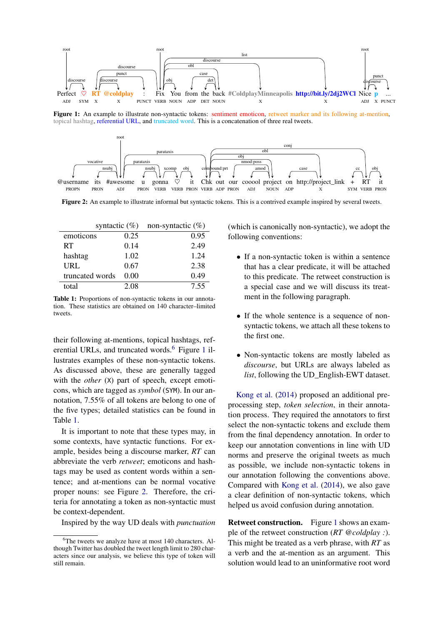<span id="page-3-1"></span>

Figure 1: An example to illustrate non-syntactic tokens: sentiment emoticon, retweet marker and its following at-mention, topical hashtag, referential URL, and truncated word. This is a concatenation of three real tweets.

<span id="page-3-0"></span>

Figure 2: An example to illustrate informal but syntactic tokens. This is a contrived example inspired by several tweets.

<span id="page-3-3"></span>

| syntactic $(\%)$ |      | non-syntactic $(\%)$ |
|------------------|------|----------------------|
| emoticons        | 0.25 | 0.95                 |
| <b>RT</b>        | 0.14 | 2.49                 |
| hashtag          | 1.02 | 1.24                 |
| URL              | 0.67 | 2.38                 |
| truncated words  | 0.00 | 0.49                 |
| total            | 2.08 | 7.55                 |

Table 1: Proportions of non-syntactic tokens in our annotation. These statistics are obtained on 140 character–limited tweets.

their following at-mentions, topical hashtags, ref-erential URLs, and truncated words.<sup>[6](#page-3-2)</sup> Figure [1](#page-3-1) illustrates examples of these non-syntactic tokens. As discussed above, these are generally tagged with the *other* (X) part of speech, except emoticons, which are tagged as *symbol* (SYM). In our annotation, 7.55% of all tokens are belong to one of the five types; detailed statistics can be found in Table [1.](#page-3-3)

It is important to note that these types may, in some contexts, have syntactic functions. For example, besides being a discourse marker, *RT* can abbreviate the verb *retweet*; emoticons and hashtags may be used as content words within a sentence; and at-mentions can be normal vocative proper nouns: see Figure [2.](#page-3-0) Therefore, the criteria for annotating a token as non-syntactic must be context-dependent.

Inspired by the way UD deals with *punctuation*

(which is canonically non-syntactic), we adopt the following conventions:

- If a non-syntactic token is within a sentence that has a clear predicate, it will be attached to this predicate. The retweet construction is a special case and we will discuss its treatment in the following paragraph.
- If the whole sentence is a sequence of nonsyntactic tokens, we attach all these tokens to the first one.
- Non-syntactic tokens are mostly labeled as *discourse*, but URLs are always labeled as *list*, following the UD\_English-EWT dataset.

[Kong et al.](#page-9-1) [\(2014\)](#page-9-1) proposed an additional preprocessing step, *token selection*, in their annotation process. They required the annotators to first select the non-syntactic tokens and exclude them from the final dependency annotation. In order to keep our annotation conventions in line with UD norms and preserve the original tweets as much as possible, we include non-syntactic tokens in our annotation following the conventions above. Compared with [Kong et al.](#page-9-1) [\(2014\)](#page-9-1), we also gave a clear definition of non-syntactic tokens, which helped us avoid confusion during annotation.

Retweet construction. Figure [1](#page-3-1) shows an example of the retweet construction (*RT @coldplay :*). This might be treated as a verb phrase, with *RT* as a verb and the at-mention as an argument. This solution would lead to an uninformative root word

<span id="page-3-2"></span><sup>&</sup>lt;sup>6</sup>The tweets we analyze have at most 140 characters. Although Twitter has doubled the tweet length limit to 280 characters since our analysis, we believe this type of token will still remain.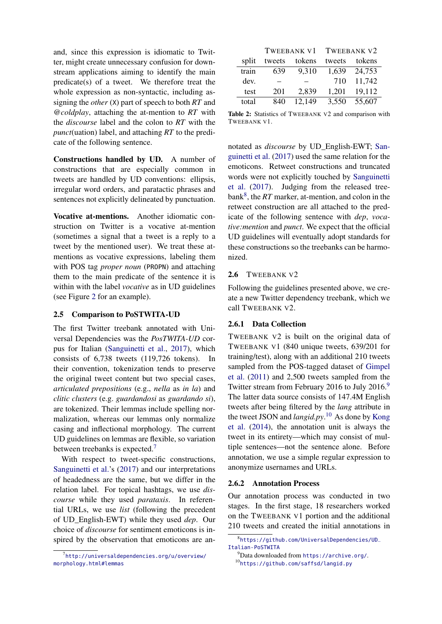and, since this expression is idiomatic to Twitter, might create unnecessary confusion for downstream applications aiming to identify the main predicate(s) of a tweet. We therefore treat the whole expression as non-syntactic, including assigning the *other* (X) part of speech to both *RT* and *@coldplay*, attaching the at-mention to *RT* with the *discourse* label and the colon to *RT* with the *punct*(uation) label, and attaching *RT* to the predicate of the following sentence.

Constructions handled by UD. A number of constructions that are especially common in tweets are handled by UD conventions: ellipsis, irregular word orders, and paratactic phrases and sentences not explicitly delineated by punctuation.

Vocative at-mentions. Another idiomatic construction on Twitter is a vocative at-mention (sometimes a signal that a tweet is a reply to a tweet by the mentioned user). We treat these atmentions as vocative expressions, labeling them with POS tag *proper noun* (PROPN) and attaching them to the main predicate of the sentence it is within with the label *vocative* as in UD guidelines (see Figure [2](#page-3-0) for an example).

### <span id="page-4-0"></span>2.5 Comparison to PoSTWITA-UD

The first Twitter treebank annotated with Universal Dependencies was the *PosTWITA-UD* corpus for Italian [\(Sanguinetti et al.,](#page-9-7) [2017\)](#page-9-7), which consists of 6,738 tweets (119,726 tokens). In their convention, tokenization tends to preserve the original tweet content but two special cases, *articulated prepositions* (e.g., *nella* as *in la*) and *clitic clusters* (e.g. *guardandosi* as *guardando si*), are tokenized. Their lemmas include spelling normalization, whereas our lemmas only normalize casing and inflectional morphology. The current UD guidelines on lemmas are flexible, so variation between treebanks is expected.<sup>[7](#page-4-2)</sup>

With respect to tweet-specific constructions, [Sanguinetti et al.'](#page-9-7)s [\(2017\)](#page-9-7) and our interpretations of headedness are the same, but we differ in the relation label. For topical hashtags, we use *discourse* while they used *parataxis*. In referential URLs, we use *list* (following the precedent of UD\_English-EWT) while they used *dep*. Our choice of *discourse* for sentiment emoticons is inspired by the observation that emoticons are an-

<span id="page-4-6"></span>

|       | TWEEBANK V1 |        | TWEEBANK V2 |        |
|-------|-------------|--------|-------------|--------|
| split | tweets      | tokens | tweets      | tokens |
| train | 639         | 9,310  | 1,639       | 24,753 |
| dev.  |             |        | 710         | 11,742 |
| test  | 201         | 2,839  | 1,201       | 19,112 |
| total | 840         | 12,149 | 3,550       | 55,607 |

Table 2: Statistics of TWEEBANK V2 and comparison with TWEEBANK V1.

notated as *discourse* by UD\_English-EWT; [San](#page-9-7)[guinetti et al.](#page-9-7) [\(2017\)](#page-9-7) used the same relation for the emoticons. Retweet constructions and truncated words were not explicitly touched by [Sanguinetti](#page-9-7) [et al.](#page-9-7) [\(2017\)](#page-9-7). Judging from the released tree-bank<sup>[8](#page-4-3)</sup>, the *RT* marker, at-mention, and colon in the retweet construction are all attached to the predicate of the following sentence with *dep*, *vocative:mention* and *punct*. We expect that the official UD guidelines will eventually adopt standards for these constructions so the treebanks can be harmonized.

### <span id="page-4-1"></span>2.6 TWEEBANK V2

Following the guidelines presented above, we create a new Twitter dependency treebank, which we call TWEEBANK V2.

### 2.6.1 Data Collection

TWEEBANK V2 is built on the original data of TWEEBANK V1 (840 unique tweets, 639/201 for training/test), along with an additional 210 tweets sampled from the POS-tagged dataset of [Gimpel](#page-9-10) [et al.](#page-9-10) [\(2011\)](#page-9-10) and 2,500 tweets sampled from the Twitter stream from February 2016 to July 2016.<sup>[9](#page-4-4)</sup> The latter data source consists of 147.4M English tweets after being filtered by the *lang* attribute in the tweet JSON and *langid.py*. [10](#page-4-5) As done by [Kong](#page-9-1) [et al.](#page-9-1) [\(2014\)](#page-9-1), the annotation unit is always the tweet in its entirety—which may consist of multiple sentences—not the sentence alone. Before annotation, we use a simple regular expression to anonymize usernames and URLs.

#### 2.6.2 Annotation Process

Our annotation process was conducted in two stages. In the first stage, 18 researchers worked on the TWEEBANK V1 portion and the additional 210 tweets and created the initial annotations in

<span id="page-4-2"></span><sup>7</sup> [http://universaldependencies.org/u/overview/](http://universaldependencies.org/u/overview/morphology.html#lemmas) [morphology.html#lemmas](http://universaldependencies.org/u/overview/morphology.html#lemmas)

<span id="page-4-3"></span><sup>8</sup> [https://github.com/UniversalDependencies/UD\\_](https://github.com/UniversalDependencies/UD_Italian-PoSTWITA) [Italian-PoSTWITA](https://github.com/UniversalDependencies/UD_Italian-PoSTWITA)

<span id="page-4-5"></span><span id="page-4-4"></span> $^{9}$ Data downloaded from <https://archive.org/>. <sup>10</sup><https://github.com/saffsd/langid.py>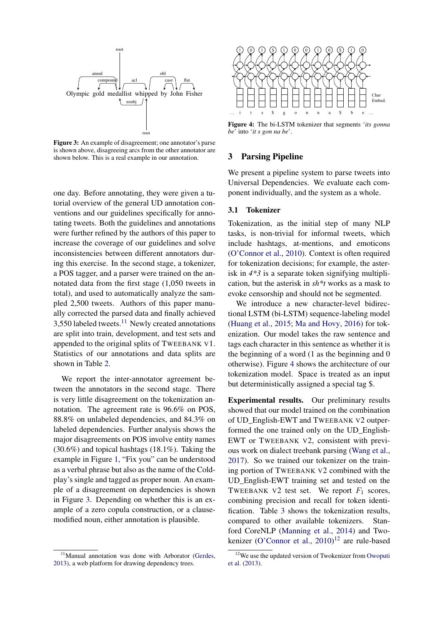<span id="page-5-2"></span>

Figure 3: An example of disagreement; one annotator's parse is shown above, disagreeing arcs from the other annotator are shown below. This is a real example in our annotation.

one day. Before annotating, they were given a tutorial overview of the general UD annotation conventions and our guidelines specifically for annotating tweets. Both the guidelines and annotations were further refined by the authors of this paper to increase the coverage of our guidelines and solve inconsistencies between different annotators during this exercise. In the second stage, a tokenizer, a POS tagger, and a parser were trained on the annotated data from the first stage (1,050 tweets in total), and used to automatically analyze the sampled 2,500 tweets. Authors of this paper manually corrected the parsed data and finally achieved 3,550 labeled tweets. $11$  Newly created annotations are split into train, development, and test sets and appended to the original splits of TWEEBANK V1. Statistics of our annotations and data splits are shown in Table [2.](#page-4-6)

We report the inter-annotator agreement between the annotators in the second stage. There is very little disagreement on the tokenization annotation. The agreement rate is 96.6% on POS, 88.8% on unlabeled dependencies, and 84.3% on labeled dependencies. Further analysis shows the major disagreements on POS involve entity names (30.6%) and topical hashtags (18.1%). Taking the example in Figure [1,](#page-3-1) "Fix you" can be understood as a verbal phrase but also as the name of the Coldplay's single and tagged as proper noun. An example of a disagreement on dependencies is shown in Figure [3.](#page-5-2) Depending on whether this is an example of a zero copula construction, or a clausemodified noun, either annotation is plausible.

<span id="page-5-3"></span>

Figure 4: The bi-LSTM tokenizer that segments '*its gonna be*' into '*it s gon na be*'.

### <span id="page-5-0"></span>3 Parsing Pipeline

We present a pipeline system to parse tweets into Universal Dependencies. We evaluate each component individually, and the system as a whole.

## <span id="page-5-5"></span>3.1 Tokenizer

Tokenization, as the initial step of many NLP tasks, is non-trivial for informal tweets, which include hashtags, at-mentions, and emoticons [\(O'Connor et al.,](#page-9-9) [2010\)](#page-9-9). Context is often required for tokenization decisions; for example, the asterisk in *4\*3* is a separate token signifying multiplication, but the asterisk in *sh\*t* works as a mask to evoke censorship and should not be segmented.

We introduce a new character-level bidirectional LSTM (bi-LSTM) sequence-labeling model [\(Huang et al.,](#page-9-13) [2015;](#page-9-13) [Ma and Hovy,](#page-9-14) [2016\)](#page-9-14) for tokenization. Our model takes the raw sentence and tags each character in this sentence as whether it is the beginning of a word (1 as the beginning and 0 otherwise). Figure [4](#page-5-3) shows the architecture of our tokenization model. Space is treated as an input but deterministically assigned a special tag \$.

Experimental results. Our preliminary results showed that our model trained on the combination of UD\_English-EWT and TWEEBANK V2 outperformed the one trained only on the UD\_English-EWT or TWEEBANK V2, consistent with previous work on dialect treebank parsing [\(Wang et al.,](#page-10-1) [2017\)](#page-10-1). So we trained our tokenizer on the training portion of TWEEBANK V2 combined with the UD\_English-EWT training set and tested on the TWEEBANK V2 test set. We report  $F_1$  scores, combining precision and recall for token identification. Table [3](#page-6-0) shows the tokenization results, compared to other available tokenizers. Stanford CoreNLP [\(Manning et al.,](#page-9-15) [2014\)](#page-9-15) and Two-kenizer [\(O'Connor et al.,](#page-9-9) [2010\)](#page-9-9)<sup>[12](#page-5-4)</sup> are rule-based

<span id="page-5-1"></span><sup>&</sup>lt;sup>11</sup>Manual annotation was done with Arborator [\(Gerdes,](#page-9-12) [2013\)](#page-9-12), a web platform for drawing dependency trees.

<span id="page-5-4"></span><sup>&</sup>lt;sup>12</sup>We use the updated version of Twokenizer from [Owoputi](#page-9-6) [et al.](#page-9-6) [\(2013\)](#page-9-6).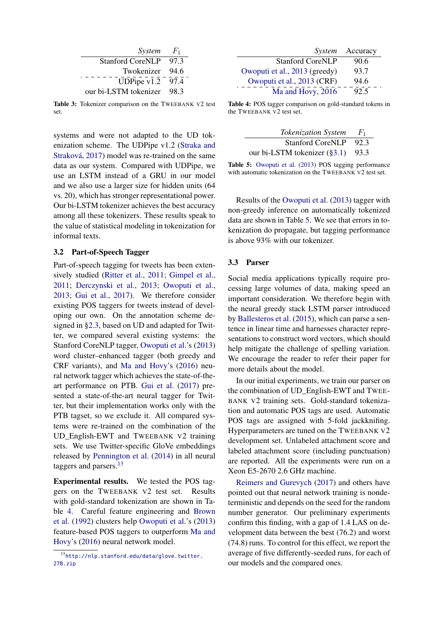<span id="page-6-0"></span>

| System                  | $F_1$ |
|-------------------------|-------|
| <b>Stanford CoreNLP</b> | 97.3  |
| Twokenizer              | 94.6  |
| UDPipe $v1.2$           | 97.4  |
| our bi-LSTM tokenizer   | 983   |

Table 3: Tokenizer comparison on the TWEEBANK V2 test set.

systems and were not adapted to the UD tokenization scheme. The UDPipe v1.2 [\(Straka and](#page-9-16) [Straková,](#page-9-16) [2017\)](#page-9-16) model was re-trained on the same data as our system. Compared with UDPipe, we use an LSTM instead of a GRU in our model and we also use a larger size for hidden units (64 vs. 20), which has stronger representational power. Our bi-LSTM tokenizer achieves the best accuracy among all these tokenizers. These results speak to the value of statistical modeling in tokenization for informal texts.

### 3.2 Part-of-Speech Tagger

Part-of-speech tagging for tweets has been extensively studied [\(Ritter et al.,](#page-9-17) [2011;](#page-9-17) [Gimpel et al.,](#page-9-10) [2011;](#page-9-10) [Derczynski et al.,](#page-8-4) [2013;](#page-8-4) [Owoputi et al.,](#page-9-6) [2013;](#page-9-6) [Gui et al.,](#page-9-18) [2017\)](#page-9-18). We therefore consider existing POS taggers for tweets instead of developing our own. On the annotation scheme designed in [§2.3,](#page-2-0) based on UD and adapted for Twitter, we compared several existing systems: the Stanford CoreNLP tagger, [Owoputi et al.'](#page-9-6)s [\(2013\)](#page-9-6) word cluster–enhanced tagger (both greedy and CRF variants), and [Ma and Hovy'](#page-9-14)s [\(2016\)](#page-9-14) neural network tagger which achieves the state-of-theart performance on PTB. [Gui et al.](#page-9-18) [\(2017\)](#page-9-18) presented a state-of-the-art neural tagger for Twitter, but their implementation works only with the PTB tagset, so we exclude it. All compared systems were re-trained on the combination of the UD English-EWT and TWEEBANK V2 training sets. We use Twitter-specific GloVe embeddings released by [Pennington et al.](#page-9-19) [\(2014\)](#page-9-19) in all neural taggers and parsers.<sup>[13](#page-6-1)</sup>

Experimental results. We tested the POS taggers on the TWEEBANK V2 test set. Results with gold-standard tokenization are shown in Table [4.](#page-6-2) Careful feature engineering and [Brown](#page-8-5) [et al.](#page-8-5) [\(1992\)](#page-8-5) clusters help [Owoputi et al.'](#page-9-6)s [\(2013\)](#page-9-6) feature-based POS taggers to outperform [Ma and](#page-9-14) [Hovy'](#page-9-14)s [\(2016\)](#page-9-14) neural network model.

<span id="page-6-2"></span>

|                               | System Accuracy |
|-------------------------------|-----------------|
| <b>Stanford CoreNLP</b>       | 90.6            |
| Owoputi et al., 2013 (greedy) | 93.7            |
| Owoputi et al., 2013 (CRF)    | 94.6            |
| Ma and Hovy, 2016             | 92.5            |

Table 4: POS tagger comparison on gold-standard tokens in the TWEEBANK V2 test set.

<span id="page-6-3"></span>

| <b>Tokenization System</b>           | $F_1$ |
|--------------------------------------|-------|
| <b>Stanford CoreNLP</b>              | 92.3  |
| our bi-LSTM tokenizer $(\S3.1)$ 93.3 |       |

Table 5: [Owoputi et al.](#page-9-6) [\(2013\)](#page-9-6) POS tagging performance with automatic tokenization on the TWEEBANK V2 test set.

Results of the [Owoputi et al.](#page-9-6) [\(2013\)](#page-9-6) tagger with non-greedy inference on automatically tokenized data are shown in Table [5.](#page-6-3) We see that errors in tokenization do propagate, but tagging performance is above 93% with our tokenizer.

### 3.3 Parser

Social media applications typically require processing large volumes of data, making speed an important consideration. We therefore begin with the neural greedy stack LSTM parser introduced by [Ballesteros et al.](#page-8-1) [\(2015\)](#page-8-1), which can parse a sentence in linear time and harnesses character representations to construct word vectors, which should help mitigate the challenge of spelling variation. We encourage the reader to refer their paper for more details about the model.

In our initial experiments, we train our parser on the combination of UD\_English-EWT and TWEE-BANK V2 training sets. Gold-standard tokenization and automatic POS tags are used. Automatic POS tags are assigned with 5-fold jackknifing. Hyperparameters are tuned on the TWEEBANK V2 development set. Unlabeled attachment score and labeled attachment score (including punctuation) are reported. All the experiments were run on a Xeon E5-2670 2.6 GHz machine.

[Reimers and Gurevych](#page-9-20) [\(2017\)](#page-9-20) and others have pointed out that neural network training is nondeterministic and depends on the seed for the random number generator. Our preliminary experiments confirm this finding, with a gap of 1.4 LAS on development data between the best (76.2) and worst (74.8) runs. To control for this effect, we report the average of five differently-seeded runs, for each of our models and the compared ones.

<span id="page-6-1"></span><sup>13</sup>[http://nlp.stanford.edu/data/glove.twitter.](http://nlp.stanford.edu/data/glove.twitter.27B.zip) [27B.zip](http://nlp.stanford.edu/data/glove.twitter.27B.zip)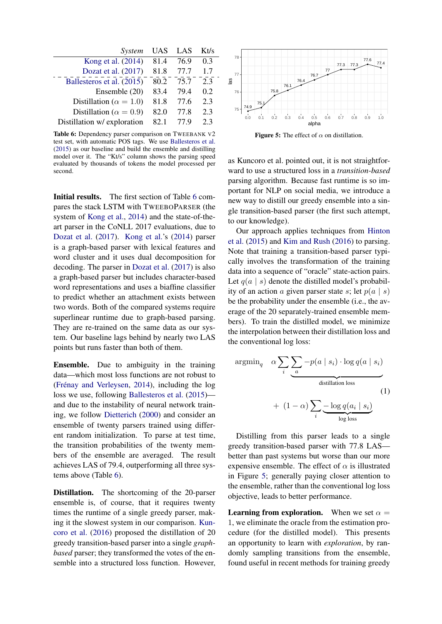<span id="page-7-0"></span>

| System                          | UAS  | LAS  | Kt/s |
|---------------------------------|------|------|------|
| Kong et al. (2014)              | 81.4 | 76.9 | 0.3  |
| Dozat et al. (2017)             | 81.8 | 77.7 | 1.7  |
| Ballesteros et al. (2015)       | 80.2 | 75.7 | 2.3  |
| Ensemble (20)                   | 83.4 | 79.4 | 0.2  |
| Distillation ( $\alpha = 1.0$ ) | 81.8 | 77.6 | 2.3  |
| Distillation ( $\alpha = 0.9$ ) | 82.0 | 77.8 | 2.3  |
| Distillation w/ exploration     | 82.1 | 77.9 | 23   |

Table 6: Dependency parser comparison on TWEEBANK V2 test set, with automatic POS tags. We use [Ballesteros et al.](#page-8-1) [\(2015\)](#page-8-1) as our baseline and build the ensemble and distilling model over it. The "Kt/s" column shows the parsing speed evaluated by thousands of tokens the model processed per second.

Initial results. The first section of Table [6](#page-7-0) compares the stack LSTM with TWEEBOPARSER (the system of [Kong et al.,](#page-9-1) [2014\)](#page-9-1) and the state-of-theart parser in the CoNLL 2017 evaluations, due to [Dozat et al.](#page-8-6) [\(2017\)](#page-8-6). [Kong et al.'](#page-9-1)s [\(2014\)](#page-9-1) parser is a graph-based parser with lexical features and word cluster and it uses dual decomposition for decoding. The parser in [Dozat et al.](#page-8-6) [\(2017\)](#page-8-6) is also a graph-based parser but includes character-based word representations and uses a biaffine classifier to predict whether an attachment exists between two words. Both of the compared systems require superlinear runtime due to graph-based parsing. They are re-trained on the same data as our system. Our baseline lags behind by nearly two LAS points but runs faster than both of them.

Ensemble. Due to ambiguity in the training data—which most loss functions are not robust to [\(Frénay and Verleysen,](#page-9-21) [2014\)](#page-9-21), including the log loss we use, following [Ballesteros et al.](#page-8-1) [\(2015\)](#page-8-1) and due to the instability of neural network training, we follow [Dietterich](#page-8-7) [\(2000\)](#page-8-7) and consider an ensemble of twenty parsers trained using different random initialization. To parse at test time, the transition probabilities of the twenty members of the ensemble are averaged. The result achieves LAS of 79.4, outperforming all three systems above (Table [6\)](#page-7-0).

Distillation. The shortcoming of the 20-parser ensemble is, of course, that it requires twenty times the runtime of a single greedy parser, making it the slowest system in our comparison. [Kun](#page-9-22)[coro et al.](#page-9-22) [\(2016\)](#page-9-22) proposed the distillation of 20 greedy transition-based parser into a single *graphbased* parser; they transformed the votes of the ensemble into a structured loss function. However,

<span id="page-7-1"></span>

**Figure 5:** The effect of  $\alpha$  on distillation.

as Kuncoro et al. pointed out, it is not straightforward to use a structured loss in a *transition-based* parsing algorithm. Because fast runtime is so important for NLP on social media, we introduce a new way to distill our greedy ensemble into a single transition-based parser (the first such attempt, to our knowledge).

Our approach applies techniques from [Hinton](#page-9-8) [et al.](#page-9-8) [\(2015\)](#page-9-8) and [Kim and Rush](#page-9-23) [\(2016\)](#page-9-23) to parsing. Note that training a transition-based parser typically involves the transformation of the training data into a sequence of "oracle" state-action pairs. Let  $q(a \mid s)$  denote the distilled model's probability of an action a given parser state s; let  $p(a \mid s)$ be the probability under the ensemble (i.e., the average of the 20 separately-trained ensemble members). To train the distilled model, we minimize the interpolation between their distillation loss and the conventional log loss:

$$
\operatorname{argmin}_{q} \quad \alpha \sum_{i} \underbrace{\sum_{a} -p(a \mid s_{i}) \cdot \log q(a \mid s_{i})}_{\text{distillation loss}}
$$
\n
$$
+ (1 - \alpha) \sum_{i} \underbrace{-\log q(a_{i} \mid s_{i})}_{\text{log loss}}
$$
\n
$$
(1)
$$

Distilling from this parser leads to a single greedy transition-based parser with 77.8 LAS better than past systems but worse than our more expensive ensemble. The effect of  $\alpha$  is illustrated in Figure [5;](#page-7-1) generally paying closer attention to the ensemble, rather than the conventional log loss objective, leads to better performance.

**Learning from exploration.** When we set  $\alpha =$ 1, we eliminate the oracle from the estimation procedure (for the distilled model). This presents an opportunity to learn with *exploration*, by randomly sampling transitions from the ensemble, found useful in recent methods for training greedy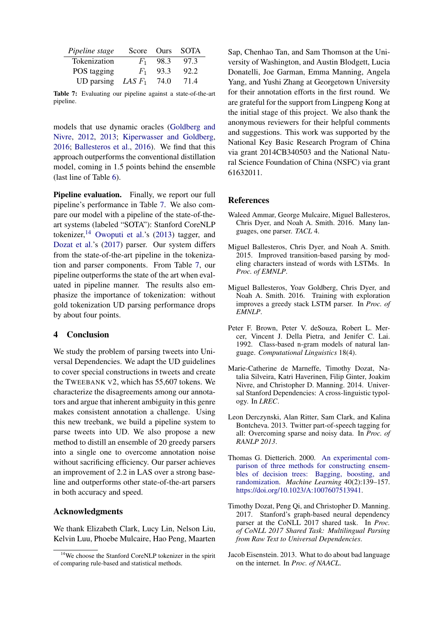<span id="page-8-9"></span>

| Pipeline stage              |         | Score Ours | <b>SOTA</b> |
|-----------------------------|---------|------------|-------------|
| Tokenization                | $F_{1}$ | 98.3       | 97.3        |
| POS tagging                 | $F_1$   | 93.3       | 92.2        |
| UD parsing <i>LAS</i> $F_1$ |         | 74.0       | 71.4        |

Table 7: Evaluating our pipeline against a state-of-the-art pipeline.

models that use dynamic oracles [\(Goldberg and](#page-9-24) [Nivre,](#page-9-24) [2012,](#page-9-24) [2013;](#page-9-25) [Kiperwasser and Goldberg,](#page-9-26) [2016;](#page-9-26) [Ballesteros et al.,](#page-8-8) [2016\)](#page-8-8). We find that this approach outperforms the conventional distillation model, coming in 1.5 points behind the ensemble (last line of Table [6\)](#page-7-0).

Pipeline evaluation. Finally, we report our full pipeline's performance in Table [7.](#page-8-9) We also compare our model with a pipeline of the state-of-theart systems (labeled "SOTA"): Stanford CoreNLP tokenizer,  $14$  [Owoputi et al.'](#page-9-6)s [\(2013\)](#page-9-6) tagger, and [Dozat et al.'](#page-8-6)s [\(2017\)](#page-8-6) parser. Our system differs from the state-of-the-art pipeline in the tokenization and parser components. From Table [7,](#page-8-9) our pipeline outperforms the state of the art when evaluated in pipeline manner. The results also emphasize the importance of tokenization: without gold tokenization UD parsing performance drops by about four points.

### 4 Conclusion

We study the problem of parsing tweets into Universal Dependencies. We adapt the UD guidelines to cover special constructions in tweets and create the TWEEBANK V2, which has 55,607 tokens. We characterize the disagreements among our annotators and argue that inherent ambiguity in this genre makes consistent annotation a challenge. Using this new treebank, we build a pipeline system to parse tweets into UD. We also propose a new method to distill an ensemble of 20 greedy parsers into a single one to overcome annotation noise without sacrificing efficiency. Our parser achieves an improvement of 2.2 in LAS over a strong baseline and outperforms other state-of-the-art parsers in both accuracy and speed.

### Acknowledgments

We thank Elizabeth Clark, Lucy Lin, Nelson Liu, Kelvin Luu, Phoebe Mulcaire, Hao Peng, Maarten Sap, Chenhao Tan, and Sam Thomson at the University of Washington, and Austin Blodgett, Lucia Donatelli, Joe Garman, Emma Manning, Angela Yang, and Yushi Zhang at Georgetown University for their annotation efforts in the first round. We are grateful for the support from Lingpeng Kong at the initial stage of this project. We also thank the anonymous reviewers for their helpful comments and suggestions. This work was supported by the National Key Basic Research Program of China via grant 2014CB340503 and the National Natural Science Foundation of China (NSFC) via grant 61632011.

### **References**

- <span id="page-8-0"></span>Waleed Ammar, George Mulcaire, Miguel Ballesteros, Chris Dyer, and Noah A. Smith. 2016. Many languages, one parser. *TACL* 4.
- <span id="page-8-1"></span>Miguel Ballesteros, Chris Dyer, and Noah A. Smith. 2015. Improved transition-based parsing by modeling characters instead of words with LSTMs. In *Proc. of EMNLP*.
- <span id="page-8-8"></span>Miguel Ballesteros, Yoav Goldberg, Chris Dyer, and Noah A. Smith. 2016. Training with exploration improves a greedy stack LSTM parser. In *Proc. of EMNLP*.
- <span id="page-8-5"></span>Peter F. Brown, Peter V. deSouza, Robert L. Mercer, Vincent J. Della Pietra, and Jenifer C. Lai. 1992. Class-based n-gram models of natural language. *Computational Linguistics* 18(4).
- <span id="page-8-2"></span>Marie-Catherine de Marneffe, Timothy Dozat, Natalia Silveira, Katri Haverinen, Filip Ginter, Joakim Nivre, and Christopher D. Manning. 2014. Universal Stanford Dependencies: A cross-linguistic typology. In *LREC*.
- <span id="page-8-4"></span>Leon Derczynski, Alan Ritter, Sam Clark, and Kalina Bontcheva. 2013. Twitter part-of-speech tagging for all: Overcoming sparse and noisy data. In *Proc. of RANLP 2013*.
- <span id="page-8-7"></span>Thomas G. Dietterich. 2000. [An experimental com](https://doi.org/10.1023/A:1007607513941)[parison of three methods for constructing ensem](https://doi.org/10.1023/A:1007607513941)[bles of decision trees: Bagging, boosting, and](https://doi.org/10.1023/A:1007607513941) [randomization.](https://doi.org/10.1023/A:1007607513941) *Machine Learning* 40(2):139–157. [https://doi.org/10.1023/A:1007607513941.](https://doi.org/10.1023/A:1007607513941)
- <span id="page-8-6"></span>Timothy Dozat, Peng Qi, and Christopher D. Manning. 2017. Stanford's graph-based neural dependency parser at the CoNLL 2017 shared task. In *Proc. of CoNLL 2017 Shared Task: Multilingual Parsing from Raw Text to Universal Dependencies*.
- <span id="page-8-3"></span>Jacob Eisenstein. 2013. What to do about bad language on the internet. In *Proc. of NAACL*.

<span id="page-8-10"></span><sup>&</sup>lt;sup>14</sup>We choose the Stanford CoreNLP tokenizer in the spirit of comparing rule-based and statistical methods.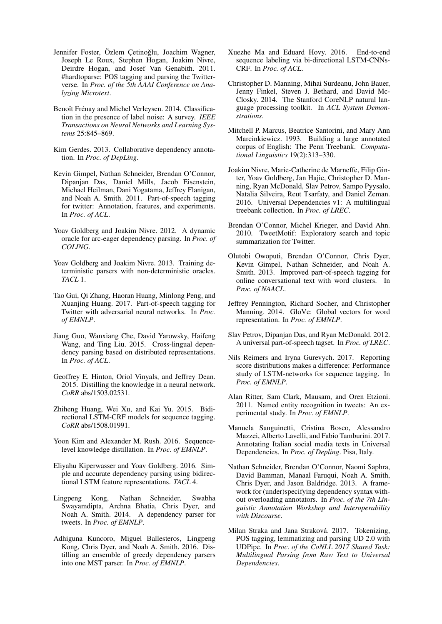- <span id="page-9-2"></span>Jennifer Foster, Özlem Cetinoğlu, Joachim Wagner, Joseph Le Roux, Stephen Hogan, Joakim Nivre, Deirdre Hogan, and Josef Van Genabith. 2011. #hardtoparse: POS tagging and parsing the Twitterverse. In *Proc. of the 5th AAAI Conference on Analyzing Microtext*.
- <span id="page-9-21"></span>Benoît Frénay and Michel Verleysen. 2014. Classification in the presence of label noise: A survey. *IEEE Transactions on Neural Networks and Learning Systems* 25:845–869.
- <span id="page-9-12"></span>Kim Gerdes. 2013. Collaborative dependency annotation. In *Proc. of DepLing*.
- <span id="page-9-10"></span>Kevin Gimpel, Nathan Schneider, Brendan O'Connor, Dipanjan Das, Daniel Mills, Jacob Eisenstein, Michael Heilman, Dani Yogatama, Jeffrey Flanigan, and Noah A. Smith. 2011. Part-of-speech tagging for twitter: Annotation, features, and experiments. In *Proc. of ACL*.
- <span id="page-9-24"></span>Yoav Goldberg and Joakim Nivre. 2012. A dynamic oracle for arc-eager dependency parsing. In *Proc. of COLING*.
- <span id="page-9-25"></span>Yoav Goldberg and Joakim Nivre. 2013. Training deterministic parsers with non-deterministic oracles. *TACL* 1.
- <span id="page-9-18"></span>Tao Gui, Qi Zhang, Haoran Huang, Minlong Peng, and Xuanjing Huang. 2017. Part-of-speech tagging for Twitter with adversarial neural networks. In *Proc. of EMNLP*.
- <span id="page-9-5"></span>Jiang Guo, Wanxiang Che, David Yarowsky, Haifeng Wang, and Ting Liu. 2015. Cross-lingual dependency parsing based on distributed representations. In *Proc. of ACL*.
- <span id="page-9-8"></span>Geoffrey E. Hinton, Oriol Vinyals, and Jeffrey Dean. 2015. Distilling the knowledge in a neural network. *CoRR* abs/1503.02531.
- <span id="page-9-13"></span>Zhiheng Huang, Wei Xu, and Kai Yu. 2015. Bidirectional LSTM-CRF models for sequence tagging. *CoRR* abs/1508.01991.
- <span id="page-9-23"></span>Yoon Kim and Alexander M. Rush. 2016. Sequencelevel knowledge distillation. In *Proc. of EMNLP*.
- <span id="page-9-26"></span>Eliyahu Kiperwasser and Yoav Goldberg. 2016. Simple and accurate dependency parsing using bidirectional LSTM feature representations. *TACL* 4.
- <span id="page-9-1"></span>Lingpeng Kong, Nathan Schneider, Swabha Swayamdipta, Archna Bhatia, Chris Dyer, and Noah A. Smith. 2014. A dependency parser for tweets. In *Proc. of EMNLP*.
- <span id="page-9-22"></span>Adhiguna Kuncoro, Miguel Ballesteros, Lingpeng Kong, Chris Dyer, and Noah A. Smith. 2016. Distilling an ensemble of greedy dependency parsers into one MST parser. In *Proc. of EMNLP*.
- <span id="page-9-14"></span>Xuezhe Ma and Eduard Hovy. 2016. End-to-end sequence labeling via bi-directional LSTM-CNNs-CRF. In *Proc. of ACL*.
- <span id="page-9-15"></span>Christopher D. Manning, Mihai Surdeanu, John Bauer, Jenny Finkel, Steven J. Bethard, and David Mc-Closky. 2014. The Stanford CoreNLP natural language processing toolkit. In *ACL System Demonstrations*.
- <span id="page-9-3"></span>Mitchell P. Marcus, Beatrice Santorini, and Mary Ann Marcinkiewicz. 1993. Building a large annotated corpus of English: The Penn Treebank. *Computational Linguistics* 19(2):313–330.
- <span id="page-9-0"></span>Joakim Nivre, Marie-Catherine de Marneffe, Filip Ginter, Yoav Goldberg, Jan Hajic, Christopher D. Manning, Ryan McDonald, Slav Petrov, Sampo Pyysalo, Natalia Silveira, Reut Tsarfaty, and Daniel Zeman. 2016. Universal Dependencies v1: A multilingual treebank collection. In *Proc. of LREC*.
- <span id="page-9-9"></span>Brendan O'Connor, Michel Krieger, and David Ahn. 2010. TweetMotif: Exploratory search and topic summarization for Twitter.
- <span id="page-9-6"></span>Olutobi Owoputi, Brendan O'Connor, Chris Dyer, Kevin Gimpel, Nathan Schneider, and Noah A. Smith. 2013. Improved part-of-speech tagging for online conversational text with word clusters. In *Proc. of NAACL*.
- <span id="page-9-19"></span>Jeffrey Pennington, Richard Socher, and Christopher Manning. 2014. GloVe: Global vectors for word representation. In *Proc. of EMNLP*.
- <span id="page-9-11"></span>Slav Petrov, Dipanjan Das, and Ryan McDonald. 2012. A universal part-of-speech tagset. In *Proc. of LREC*.
- <span id="page-9-20"></span>Nils Reimers and Iryna Gurevych. 2017. Reporting score distributions makes a difference: Performance study of LSTM-networks for sequence tagging. In *Proc. of EMNLP*.
- <span id="page-9-17"></span>Alan Ritter, Sam Clark, Mausam, and Oren Etzioni. 2011. Named entity recognition in tweets: An experimental study. In *Proc. of EMNLP*.
- <span id="page-9-7"></span>Manuela Sanguinetti, Cristina Bosco, Alessandro Mazzei, Alberto Lavelli, and Fabio Tamburini. 2017. Annotating Italian social media texts in Universal Dependencies. In *Proc. of Depling*. Pisa, Italy.
- <span id="page-9-4"></span>Nathan Schneider, Brendan O'Connor, Naomi Saphra, David Bamman, Manaal Faruqui, Noah A. Smith, Chris Dyer, and Jason Baldridge. 2013. A framework for (under)specifying dependency syntax without overloading annotators. In *Proc. of the 7th Linguistic Annotation Workshop and Interoperability with Discourse*.
- <span id="page-9-16"></span>Milan Straka and Jana Straková. 2017. Tokenizing, POS tagging, lemmatizing and parsing UD 2.0 with UDPipe. In *Proc. of the CoNLL 2017 Shared Task: Multilingual Parsing from Raw Text to Universal Dependencies*.